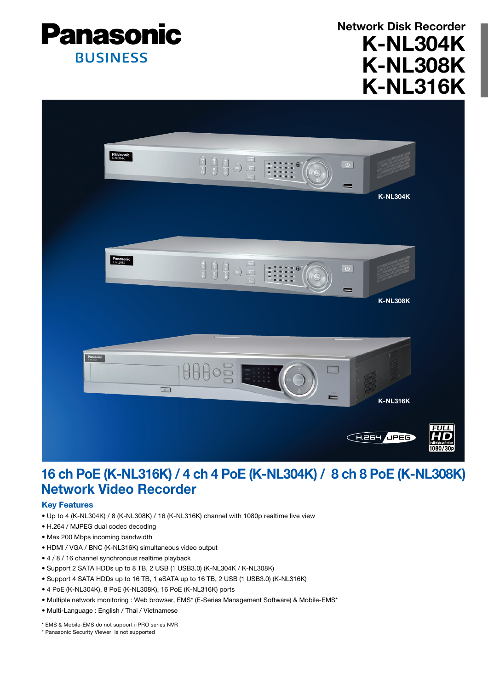

K-NL304K K-NL308K K-NL316K Network Disk Recorder



# 16 ch PoE (K-NL316K) / 4 ch 4 PoE (K-NL304K) / 8 ch 8 PoE (K-NL308K) Network Video Recorder

## Key Features

- Up to 4 (K-NL304K) / 8 (K-NL308K) / 16 (K-NL316K) channel with 1080p realtime live view
- H.264 / MJPEG dual codec decoding
- Max 200 Mbps incoming bandwidth
- HDMI / VGA / BNC (K-NL316K) simultaneous video output
- 4 / 8 / 16 channel synchronous realtime playback
- Support 2 SATA HDDs up to 8 TB, 2 USB (1 USB3.0) (K-NL304K / K-NL308K)
- Support 4 SATA HDDs up to 16 TB, 1 eSATA up to 16 TB, 2 USB (1 USB3.0) (K-NL316K)
- 4 PoE (K-NL304K), 8 PoE (K-NL308K), 16 PoE (K-NL316K) ports
- Multiple network monitoring : Web browser, EMS\* (E-Series Management Software) & Mobile-EMS\*
- Multi-Language : English / Thai / Vietnamese

\* EMS & Mobile-EMS do not support i-PRO series NVR

\* Panasonic Security Viewer is not supported